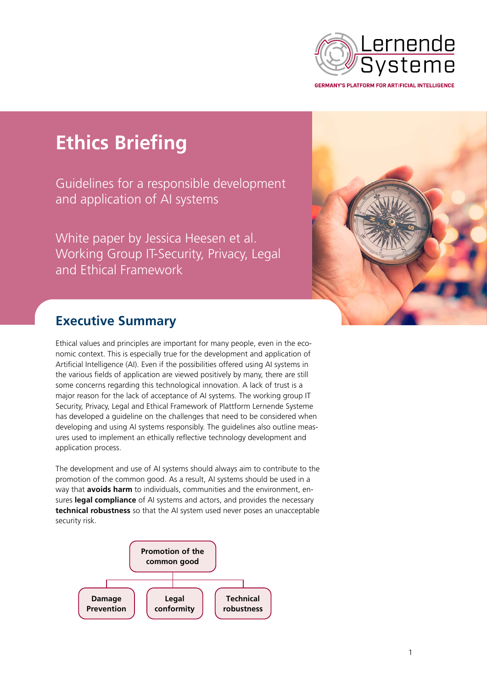

**Ethics Briefing**

Guidelines for a responsible development and application of AI systems

White paper by Jessica Heesen et al. Working Group IT-Security, Privacy, Legal and Ethical Framework



## **Executive Summary**

Ethical values and principles are important for many people, even in the economic context. This is especially true for the development and application of Artificial Intelligence (AI). Even if the possibilities offered using AI systems in the various fields of application are viewed positively by many, there are still some concerns regarding this technological innovation. A lack of trust is a major reason for the lack of acceptance of AI systems. The working group IT Security, Privacy, Legal and Ethical Framework of Plattform Lernende Systeme has developed a guideline on the challenges that need to be considered when developing and using AI systems responsibly. The guidelines also outline measures used to implement an ethically reflective technology development and application process.

The development and use of AI systems should always aim to contribute to the promotion of the common good. As a result, AI systems should be used in a way that **avoids harm** to individuals, communities and the environment, ensures **legal compliance** of AI systems and actors, and provides the necessary **technical robustness** so that the AI system used never poses an unacceptable security risk.

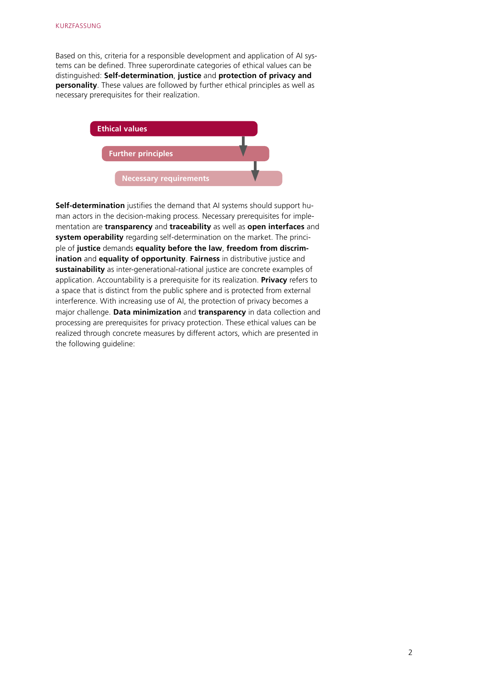Based on this, criteria for a responsible development and application of AI systems can be defined. Three superordinate categories of ethical values can be distinguished: **Self-determination**, **justice** and **protection of privacy and personality**. These values are followed by further ethical principles as well as necessary prerequisites for their realization.



**Self-determination** justifies the demand that AI systems should support human actors in the decision-making process. Necessary prerequisites for implementation are **transparency** and **traceability** as well as **open interfaces** and **system operability** regarding self-determination on the market. The principle of **justice** demands **equality before the law**, **freedom from discrimination** and **equality of opportunity**. **Fairness** in distributive justice and **sustainability** as inter-generational-rational justice are concrete examples of application. Accountability is a prerequisite for its realization. **Privacy** refers to a space that is distinct from the public sphere and is protected from external interference. With increasing use of AI, the protection of privacy becomes a major challenge. **Data minimization** and **transparency** in data collection and processing are prerequisites for privacy protection. These ethical values can be realized through concrete measures by different actors, which are presented in the following guideline: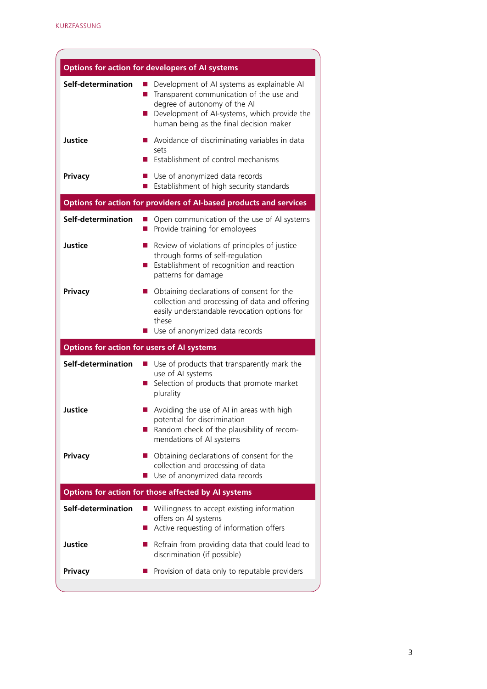| <b>Options for action for developers of AI systems</b>             |                                                                                                                                                                                                                    |
|--------------------------------------------------------------------|--------------------------------------------------------------------------------------------------------------------------------------------------------------------------------------------------------------------|
| Self-determination                                                 | Development of AI systems as explainable AI<br>Transparent communication of the use and<br>degree of autonomy of the AI<br>Development of AI-systems, which provide the<br>human being as the final decision maker |
| <b>Justice</b>                                                     | Avoidance of discriminating variables in data<br>sets<br>Establishment of control mechanisms                                                                                                                       |
| Privacy                                                            | Use of anonymized data records<br>Establishment of high security standards                                                                                                                                         |
| Options for action for providers of AI-based products and services |                                                                                                                                                                                                                    |
| Self-determination                                                 | Open communication of the use of AI systems<br>Provide training for employees                                                                                                                                      |
| <b>Justice</b>                                                     | Review of violations of principles of justice<br>through forms of self-regulation<br>Establishment of recognition and reaction<br>patterns for damage                                                              |
| Privacy                                                            | Obtaining declarations of consent for the<br>collection and processing of data and offering<br>easily understandable revocation options for<br>these<br>Use of anonymized data records                             |
| <b>Options for action for users of AI systems</b>                  |                                                                                                                                                                                                                    |
| Self-determination                                                 | Use of products that transparently mark the<br>use of AI systems<br>Selection of products that promote market<br>plurality                                                                                         |
| <b>Justice</b>                                                     | Avoiding the use of AI in areas with high<br>potential for discrimination<br>Random check of the plausibility of recom-<br>mendations of AI systems                                                                |
| Privacy                                                            | Obtaining declarations of consent for the<br><u>a se</u><br>collection and processing of data<br>Use of anonymized data records<br>ш                                                                               |
| Options for action for those affected by AI systems                |                                                                                                                                                                                                                    |
| Self-determination                                                 | Willingness to accept existing information<br>$\mathbb{Z}$<br>offers on AI systems<br>Active requesting of information offers<br>ш                                                                                 |
| <b>Justice</b>                                                     | Refrain from providing data that could lead to<br>discrimination (if possible)                                                                                                                                     |
| Privacy                                                            | Provision of data only to reputable providers                                                                                                                                                                      |
|                                                                    |                                                                                                                                                                                                                    |